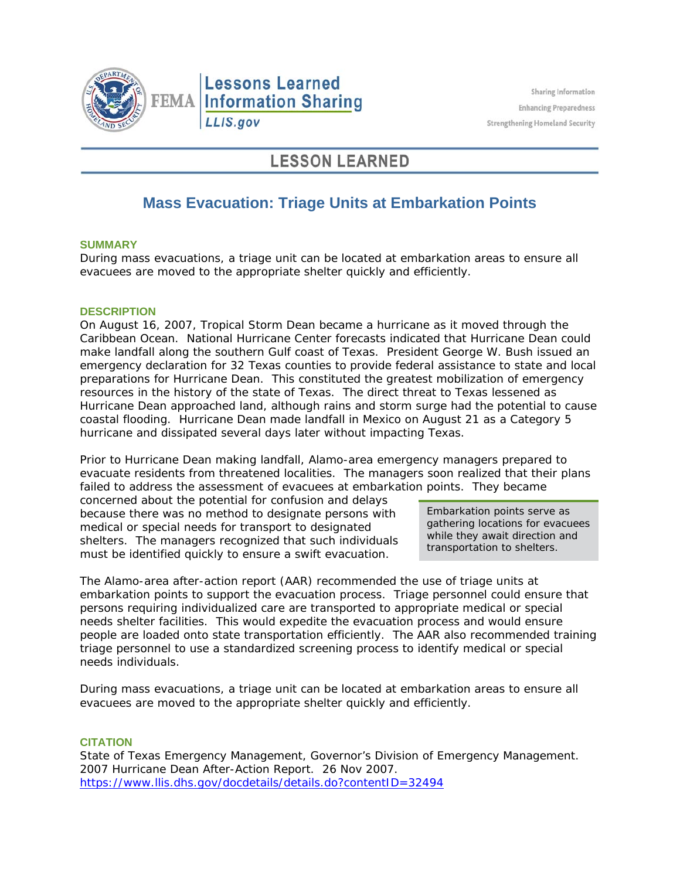

# **LESSON LEARNED**

# **Mass Evacuation: Triage Units at Embarkation Points**

### **SUMMARY**

During mass evacuations, a triage unit can be located at embarkation areas to ensure all evacuees are moved to the appropriate shelter quickly and efficiently.

### **DESCRIPTION**

On August 16, 2007, Tropical Storm Dean became a hurricane as it moved through the Caribbean Ocean. National Hurricane Center forecasts indicated that Hurricane Dean could make landfall along the southern Gulf coast of Texas. President George W. Bush issued an emergency declaration for 32 Texas counties to provide federal assistance to state and local preparations for Hurricane Dean. This constituted the greatest mobilization of emergency resources in the history of the state of Texas. The direct threat to Texas lessened as Hurricane Dean approached land, although rains and storm surge had the potential to cause coastal flooding. Hurricane Dean made landfall in Mexico on August 21 as a Category 5 hurricane and dissipated several days later without impacting Texas.

Prior to Hurricane Dean making landfall, Alamo-area emergency managers prepared to evacuate residents from threatened localities. The managers soon realized that their plans failed to address the assessment of evacuees at embarkation points. They became

concerned about the potential for confusion and delays because there was no method to designate persons with medical or special needs for transport to designated shelters. The managers recognized that such individuals must be identified quickly to ensure a swift evacuation.

Embarkation points serve as gathering locations for evacuees while they await direction and transportation to shelters.

The Alamo-area after-action report (AAR) recommended the use of triage units at embarkation points to support the evacuation process. Triage personnel could ensure that persons requiring individualized care are transported to appropriate medical or special needs shelter facilities. This would expedite the evacuation process and would ensure people are loaded onto state transportation efficiently. The AAR also recommended training triage personnel to use a standardized screening process to identify medical or special needs individuals.

During mass evacuations, a triage unit can be located at embarkation areas to ensure all evacuees are moved to the appropriate shelter quickly and efficiently.

#### **CITATION**

State of Texas Emergency Management, Governor's Division of Emergency Management. *2007 Hurricane Dean After-Action Report*. 26 Nov 2007. https://www.llis.dhs.gov/docdetails/details.do?contentID=32494